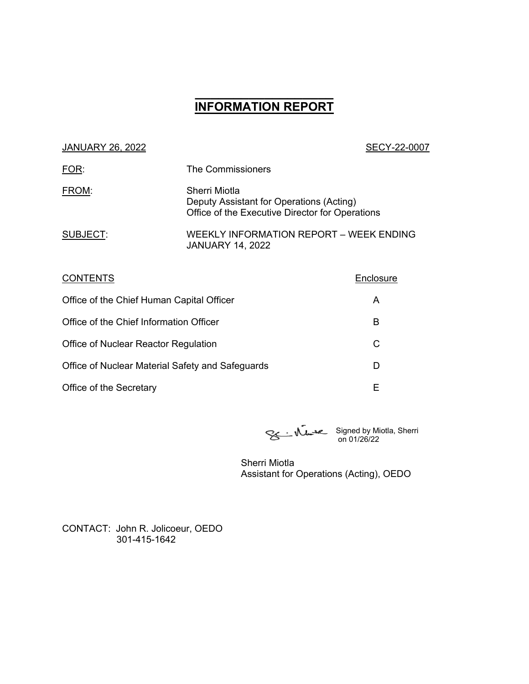# **\_\_\_\_\_\_\_\_\_\_\_\_\_\_\_\_\_\_ INFORMATION REPORT**

| <b>JANUARY 26, 2022</b>                          |                                                                                                              | SECY-22-0007 |
|--------------------------------------------------|--------------------------------------------------------------------------------------------------------------|--------------|
| <b>FOR:</b>                                      | The Commissioners                                                                                            |              |
| FROM:                                            | Sherri Miotla<br>Deputy Assistant for Operations (Acting)<br>Office of the Executive Director for Operations |              |
| <b>SUBJECT:</b>                                  | <b>WEEKLY INFORMATION REPORT - WEEK ENDING</b><br><b>JANUARY 14, 2022</b>                                    |              |
| <b>CONTENTS</b>                                  |                                                                                                              | Enclosure    |
| Office of the Chief Human Capital Officer        |                                                                                                              | A            |
| Office of the Chief Information Officer          |                                                                                                              | B            |
| Office of Nuclear Reactor Regulation             |                                                                                                              | C            |
| Office of Nuclear Material Safety and Safeguards |                                                                                                              | D            |
|                                                  |                                                                                                              |              |

Office of the Secretary **E** 

Signed by Miotla, Sherri on 01/26/22

Sherri Miotla Assistant for Operations (Acting), OEDO

CONTACT: John R. Jolicoeur, OEDO 301-415-1642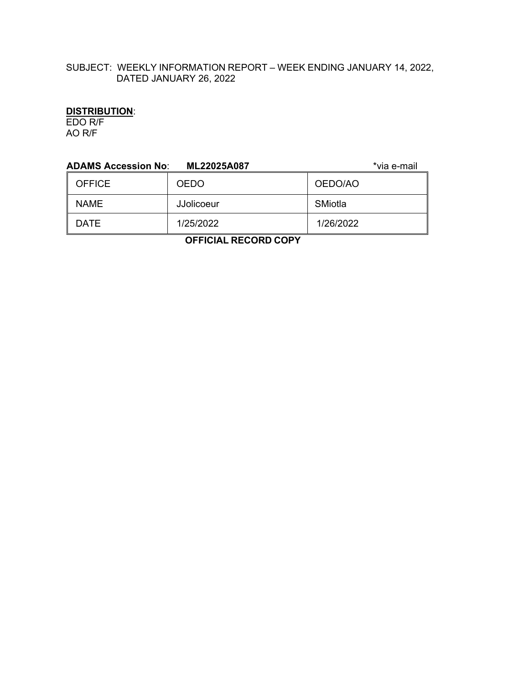# SUBJECT: WEEKLY INFORMATION REPORT – WEEK ENDING JANUARY 14, 2022, DATED JANUARY 26, 2022

# **DISTRIBUTION**:

EDO R/F AO R/F

| <b>ADAMS Accession No:</b><br>*via e-mail<br>ML22025A087 |             |           |  |  |
|----------------------------------------------------------|-------------|-----------|--|--|
| <b>OFFICE</b>                                            | <b>OEDO</b> | OEDO/AO   |  |  |
| <b>NAME</b>                                              | JJolicoeur  | SMiotla   |  |  |
| <b>DATE</b>                                              | 1/25/2022   | 1/26/2022 |  |  |
|                                                          |             |           |  |  |

 **OFFICIAL RECORD COPY**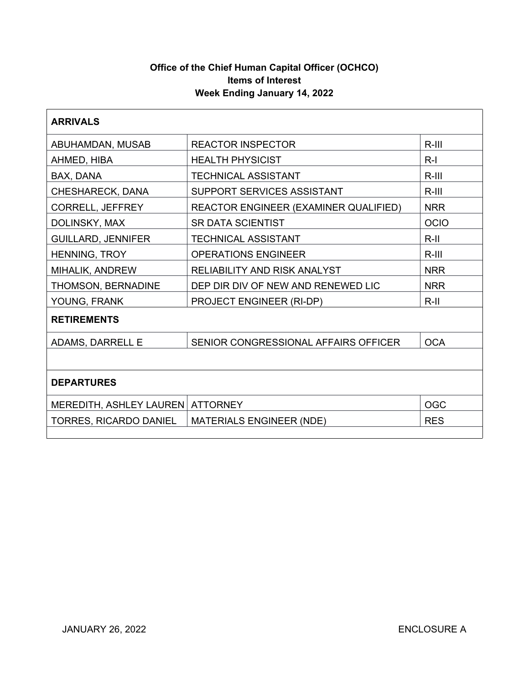# **Office of the Chief Human Capital Officer (OCHCO) Items of Interest Week Ending January 14, 2022**

| <b>ARRIVALS</b>               |                                                     |            |  |  |
|-------------------------------|-----------------------------------------------------|------------|--|--|
| ABUHAMDAN, MUSAB              | <b>REACTOR INSPECTOR</b><br>$R-III$                 |            |  |  |
| AHMED, HIBA                   | <b>HEALTH PHYSICIST</b><br>$R-I$                    |            |  |  |
| BAX, DANA                     | $R-III$<br><b>TECHNICAL ASSISTANT</b>               |            |  |  |
| CHESHARECK, DANA              | SUPPORT SERVICES ASSISTANT<br>$R-III$               |            |  |  |
| CORRELL, JEFFREY              | REACTOR ENGINEER (EXAMINER QUALIFIED)<br><b>NRR</b> |            |  |  |
| DOLINSKY, MAX                 | <b>SR DATA SCIENTIST</b><br><b>OCIO</b>             |            |  |  |
| <b>GUILLARD, JENNIFER</b>     | <b>TECHNICAL ASSISTANT</b><br>$R$ -II               |            |  |  |
| HENNING, TROY                 | <b>OPERATIONS ENGINEER</b>                          | $R-III$    |  |  |
| MIHALIK, ANDREW               | <b>RELIABILITY AND RISK ANALYST</b>                 | <b>NRR</b> |  |  |
| THOMSON, BERNADINE            | DEP DIR DIV OF NEW AND RENEWED LIC                  | <b>NRR</b> |  |  |
| YOUNG, FRANK                  | PROJECT ENGINEER (RI-DP)<br>$R-II$                  |            |  |  |
| <b>RETIREMENTS</b>            |                                                     |            |  |  |
| <b>ADAMS, DARRELL E</b>       | SENIOR CONGRESSIONAL AFFAIRS OFFICER                | <b>OCA</b> |  |  |
|                               |                                                     |            |  |  |
| <b>DEPARTURES</b>             |                                                     |            |  |  |
| MEREDITH, ASHLEY LAUREN       | <b>OGC</b><br><b>ATTORNEY</b>                       |            |  |  |
| <b>TORRES, RICARDO DANIEL</b> | <b>MATERIALS ENGINEER (NDE)</b><br><b>RES</b>       |            |  |  |
|                               |                                                     |            |  |  |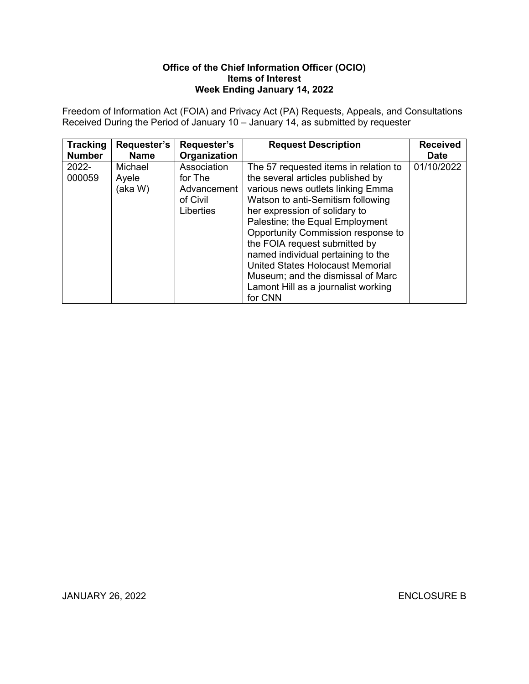### **Office of the Chief Information Officer (OCIO) Items of Interest Week Ending January 14, 2022**

Freedom of Information Act (FOIA) and Privacy Act (PA) Requests, Appeals, and Consultations Received During the Period of January 10 – January 14, as submitted by requester

| <b>Tracking</b> | Requester's                 | <b>Requester's</b>                                                    | <b>Request Description</b>                                                                                                                                                                                                                                                                                                                                                                                                                                              | <b>Received</b> |
|-----------------|-----------------------------|-----------------------------------------------------------------------|-------------------------------------------------------------------------------------------------------------------------------------------------------------------------------------------------------------------------------------------------------------------------------------------------------------------------------------------------------------------------------------------------------------------------------------------------------------------------|-----------------|
| <b>Number</b>   | <b>Name</b>                 | Organization                                                          |                                                                                                                                                                                                                                                                                                                                                                                                                                                                         | <b>Date</b>     |
| 2022-<br>000059 | Michael<br>Ayele<br>(aka W) | Association<br>for The<br>Advancement<br>of Civil<br><b>Liberties</b> | The 57 requested items in relation to<br>the several articles published by<br>various news outlets linking Emma<br>Watson to anti-Semitism following<br>her expression of solidary to<br>Palestine; the Equal Employment<br>Opportunity Commission response to<br>the FOIA request submitted by<br>named individual pertaining to the<br><b>United States Holocaust Memorial</b><br>Museum; and the dismissal of Marc<br>Lamont Hill as a journalist working<br>for CNN | 01/10/2022      |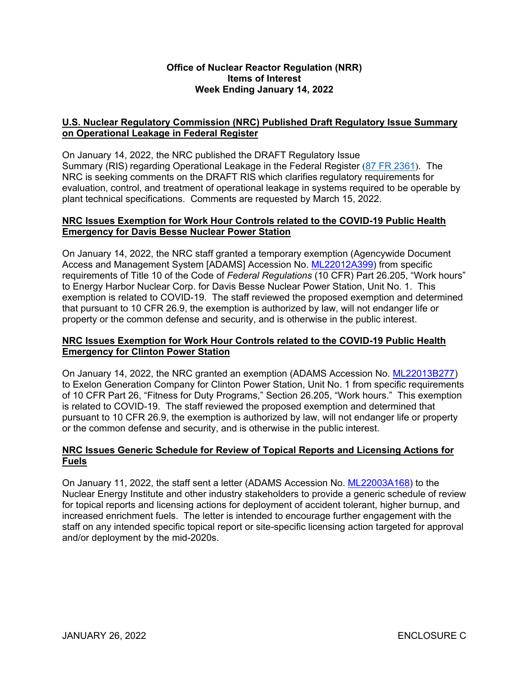#### **Office of Nuclear Reactor Regulation (NRR) Items of Interest Week Ending January 14, 2022**

# **U.S. Nuclear Regulatory Commission (NRC) Published Draft Regulatory Issue Summary on Operational Leakage in Federal Register**

On January 14, 2022, the NRC published the DRAFT Regulatory Issue Summary (RIS) regarding Operational Leakage in the Federal Register ([87 FR 2361](https://www.federalregister.gov/documents/2022/01/14/2022-00686/operational-leakage)). The NRC is seeking comments on the DRAFT RIS which clarifies regulatory requirements for evaluation, control, and treatment of operational leakage in systems required to be operable by plant technical specifications. Comments are requested by March 15, 2022.

#### **NRC Issues Exemption for Work Hour Controls related to the COVID-19 Public Health Emergency for Davis Besse Nuclear Power Station**

On January 14, 2022, the NRC staff granted a temporary exemption (Agencywide Document Access and Management System [ADAMS] Accession No. [ML22012A399](https://adamsxt.nrc.gov/navigator/AdamsXT/content/downloadContent.faces?objectStoreName=MainLibrary&ForceBrowserDownloadMgrPrompt=false&vsId=%7b1D28F4C0-9913-C02F-8669-7E5007000000%7d)) from specific requirements of Title 10 of the Code of *Federal Regulations* (10 CFR) Part 26.205, "Work hours" to Energy Harbor Nuclear Corp. for Davis Besse Nuclear Power Station, Unit No. 1. This exemption is related to COVID-19. The staff reviewed the proposed exemption and determined that pursuant to 10 CFR 26.9, the exemption is authorized by law, will not endanger life or property or the common defense and security, and is otherwise in the public interest.

## **NRC Issues Exemption for Work Hour Controls related to the COVID-19 Public Health Emergency for Clinton Power Station**

On January 14, 2022, the NRC granted an exemption (ADAMS Accession No. [ML22013B277](https://adamsxt.nrc.gov/navigator/AdamsXT/content/downloadContent.faces?objectStoreName=MainLibrary&vsId=%7b0D0C8AC2-D90F-C478-873F-7E5588600000%7d&ForceBrowserDownloadMgrPrompt=false)) to Exelon Generation Company for Clinton Power Station, Unit No. 1 from specific requirements of 10 CFR Part 26, "Fitness for Duty Programs," Section 26.205, "Work hours." This exemption is related to COVID-19. The staff reviewed the proposed exemption and determined that pursuant to 10 CFR 26.9, the exemption is authorized by law, will not endanger life or property or the common defense and security, and is otherwise in the public interest.

# **NRC Issues Generic Schedule for Review of Topical Reports and Licensing Actions for Fuels**

On January 11, 2022, the staff sent a letter (ADAMS Accession No. [ML22003A168](https://adamsxt.nrc.gov/navigator/AdamsXT/content/downloadContent.faces?objectStoreName=MainLibrary&vsId=%7bF9B80845-74EB-C38D-87E4-7E21C9200000%7d&ForceBrowserDownloadMgrPrompt=false)) to the Nuclear Energy Institute and other industry stakeholders to provide a generic schedule of review for topical reports and licensing actions for deployment of accident tolerant, higher burnup, and increased enrichment fuels. The letter is intended to encourage further engagement with the staff on any intended specific topical report or site-specific licensing action targeted for approval and/or deployment by the mid-2020s.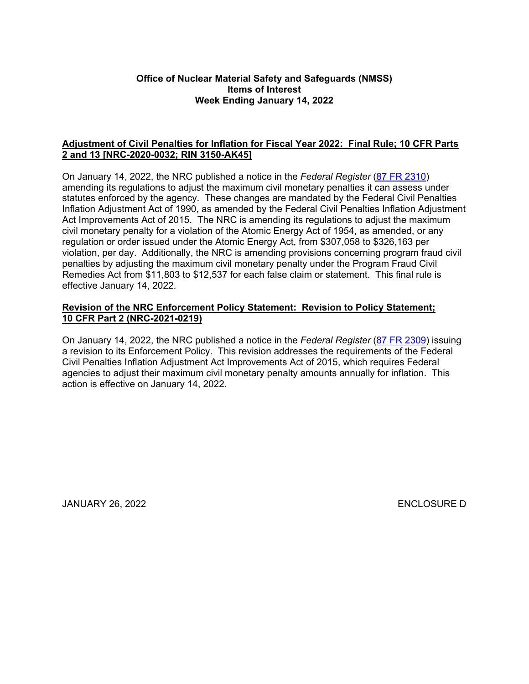#### **Office of Nuclear Material Safety and Safeguards (NMSS) Items of Interest Week Ending January 14, 2022**

### **Adjustment of Civil Penalties for Inflation for Fiscal Year 2022: Final Rule; 10 CFR Parts 2 and 13 [NRC-2020-0032; RIN 3150-AK45]**

On January 14, 2022, the NRC published a notice in the *Federal Register* ([87 FR 2310](https://www.federalregister.gov/d/2022-00010)) amending its regulations to adjust the maximum civil monetary penalties it can assess under statutes enforced by the agency. These changes are mandated by the Federal Civil Penalties Inflation Adjustment Act of 1990, as amended by the Federal Civil Penalties Inflation Adjustment Act Improvements Act of 2015. The NRC is amending its regulations to adjust the maximum civil monetary penalty for a violation of the Atomic Energy Act of 1954, as amended, or any regulation or order issued under the Atomic Energy Act, from \$307,058 to \$326,163 per violation, per day. Additionally, the NRC is amending provisions concerning program fraud civil penalties by adjusting the maximum civil monetary penalty under the Program Fraud Civil Remedies Act from \$11,803 to \$12,537 for each false claim or statement. This final rule is effective January 14, 2022.

#### **Revision of the NRC Enforcement Policy Statement: Revision to Policy Statement; 10 CFR Part 2 (NRC-2021-0219)**

On January 14, 2022, the NRC published a notice in the *Federal Register* ([87 FR 2309](https://www.federalregister.gov/d/2022-00011)) issuing a revision to its Enforcement Policy. This revision addresses the requirements of the Federal Civil Penalties Inflation Adjustment Act Improvements Act of 2015, which requires Federal agencies to adjust their maximum civil monetary penalty amounts annually for inflation. This action is effective on January 14, 2022.

JANUARY 26, 2022 ENCLOSURE D